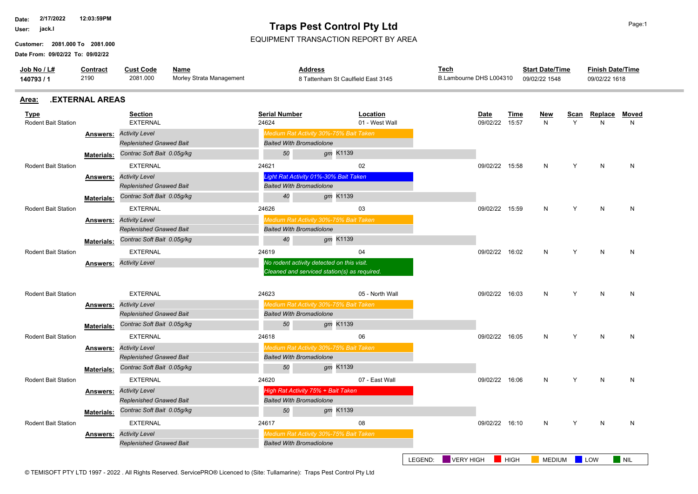**2/17/2022 12:03:59PM Date:**

**User:**

**Date From: 09/02/22 To: 09/02/22 Customer: 2081.000 To 2081.000**

## **Traps Pest Control Pty Ltd**

EQUIPMENT TRANSACTION REPORT BY AREA

| Job No / L#<br>140793 / 1                 | <b>Contract</b><br>2190 | <b>Cust Code</b><br>Name<br>2081.000<br>Morley Strata Management |  |                                 | <b>Address</b><br>8 Tattenham St Caulfield East 3145                                       | <u>Tech</u>          | B.Lambourne DHS L004310       |             |                 | <b>Start Date/Time</b> | <b>Finish Date/Time</b><br>09/02/22 1618 |                   |
|-------------------------------------------|-------------------------|------------------------------------------------------------------|--|---------------------------------|--------------------------------------------------------------------------------------------|----------------------|-------------------------------|-------------|-----------------|------------------------|------------------------------------------|-------------------|
| Area:                                     | <b>.EXTERNAL AREAS</b>  |                                                                  |  |                                 |                                                                                            |                      |                               |             |                 |                        |                                          |                   |
| <b>Type</b><br><b>Rodent Bait Station</b> |                         | <b>Section</b><br><b>EXTERNAL</b>                                |  | <b>Serial Number</b><br>24624   | Location<br>01 - West Wall                                                                 |                      | <b>Date</b><br>09/02/22 15:57 | Time        | <b>New</b><br>N | <b>Scan</b><br>Y       | Replace<br>N                             | <b>Moved</b><br>N |
|                                           | Answers:                | <b>Activity Level</b><br><b>Replenished Gnawed Bait</b>          |  | <b>Baited With Bromadiolone</b> | Medium Rat Activity 30%-75% Bait Taken                                                     |                      |                               |             |                 |                        |                                          |                   |
|                                           | <b>Materials:</b>       | Contrac Soft Bait 0.05g/kg                                       |  | 50                              | gm K1139                                                                                   |                      |                               |             |                 |                        |                                          |                   |
| <b>Rodent Bait Station</b>                |                         | <b>EXTERNAL</b>                                                  |  | 24621                           | 02                                                                                         |                      | 09/02/22 15:58                |             | N               | Y                      | N                                        | N                 |
|                                           | Answers:                | <b>Activity Level</b><br><b>Replenished Gnawed Bait</b>          |  | <b>Baited With Bromadiolone</b> | Light Rat Activity 01%-30% Bait Taken                                                      |                      |                               |             |                 |                        |                                          |                   |
|                                           | <b>Materials:</b>       | Contrac Soft Bait 0.05g/kg                                       |  | 40                              | gm K1139                                                                                   |                      |                               |             |                 |                        |                                          |                   |
| <b>Rodent Bait Station</b>                |                         | <b>EXTERNAL</b>                                                  |  | 24626                           | 03                                                                                         |                      | 09/02/22 15:59                |             | N               | Y                      | N                                        | N                 |
|                                           | <b>Answers:</b>         | <b>Activity Level</b><br>Replenished Gnawed Bait                 |  | <b>Baited With Bromadiolone</b> | Medium Rat Activity 30%-75% Bait Taken                                                     |                      |                               |             |                 |                        |                                          |                   |
|                                           | <b>Materials:</b>       | Contrac Soft Bait 0.05g/kg                                       |  | 40                              | gm K1139                                                                                   |                      |                               |             |                 |                        |                                          |                   |
| <b>Rodent Bait Station</b>                |                         | <b>EXTERNAL</b>                                                  |  | 24619                           | 04                                                                                         |                      | 09/02/22 16:02                |             | N               | Y                      | N                                        | N                 |
|                                           | Answers:                | <b>Activity Level</b>                                            |  |                                 | No rodent activity detected on this visit.<br>Cleaned and serviced station(s) as required. |                      |                               |             |                 |                        |                                          |                   |
| <b>Rodent Bait Station</b>                |                         | <b>EXTERNAL</b>                                                  |  | 24623                           | 05 - North Wall                                                                            |                      | 09/02/22 16:03                |             | N               | Y                      | N                                        | N                 |
|                                           | Answers:                | <b>Activity Level</b><br>Replenished Gnawed Bait                 |  | <b>Baited With Bromadiolone</b> | Medium Rat Activity 30%-75% Bait Taken                                                     |                      |                               |             |                 |                        |                                          |                   |
|                                           | <b>Materials:</b>       | Contrac Soft Bait 0.05g/kg                                       |  | 50                              | gm K1139                                                                                   |                      |                               |             |                 |                        |                                          |                   |
| <b>Rodent Bait Station</b>                |                         | <b>EXTERNAL</b>                                                  |  | 24618                           | 06                                                                                         |                      | 09/02/22 16:05                |             | N               | Y                      | N                                        | N                 |
|                                           | Answers:                | <b>Activity Level</b><br><b>Replenished Gnawed Bait</b>          |  | <b>Baited With Bromadiolone</b> | Medium Rat Activity 30%-75% Bait Taken                                                     |                      |                               |             |                 |                        |                                          |                   |
|                                           | <b>Materials:</b>       | Contrac Soft Bait 0.05g/kg                                       |  | 50                              | gm K1139                                                                                   |                      |                               |             |                 |                        |                                          |                   |
| <b>Rodent Bait Station</b>                |                         | <b>EXTERNAL</b>                                                  |  | 24620                           | 07 - East Wall                                                                             |                      | 09/02/22 16:06                |             | N               | Y                      | $\mathsf{N}$                             | N                 |
|                                           | Answers:                | <b>Activity Level</b><br>Replenished Gnawed Bait                 |  | <b>Baited With Bromadiolone</b> | High Rat Activity 75% + Bait Taken                                                         |                      |                               |             |                 |                        |                                          |                   |
|                                           | <b>Materials:</b>       | Contrac Soft Bait 0.05g/kg                                       |  | 50                              | gm K1139                                                                                   |                      |                               |             |                 |                        |                                          |                   |
| <b>Rodent Bait Station</b>                |                         | <b>EXTERNAL</b>                                                  |  | 24617                           | 08                                                                                         |                      | 09/02/22 16:10                |             | N               | Y                      | N                                        | N                 |
|                                           | Answers:                | <b>Activity Level</b><br><b>Replenished Gnawed Bait</b>          |  | <b>Baited With Bromadiolone</b> | Medium Rat Activity 30%-75% Bait Taken                                                     |                      |                               |             |                 |                        |                                          |                   |
|                                           |                         |                                                                  |  |                                 |                                                                                            | VERY HIGH<br>LEGEND: |                               | <b>HIGH</b> | <b>MEDIUM</b>   |                        | LOW                                      | <b>NIL</b>        |

© TEMISOFT PTY LTD 1997 - 2022 . All Rights Reserved. ServicePRO® Licenced to (Site: Tullamarine): Traps Pest Control Pty Ltd